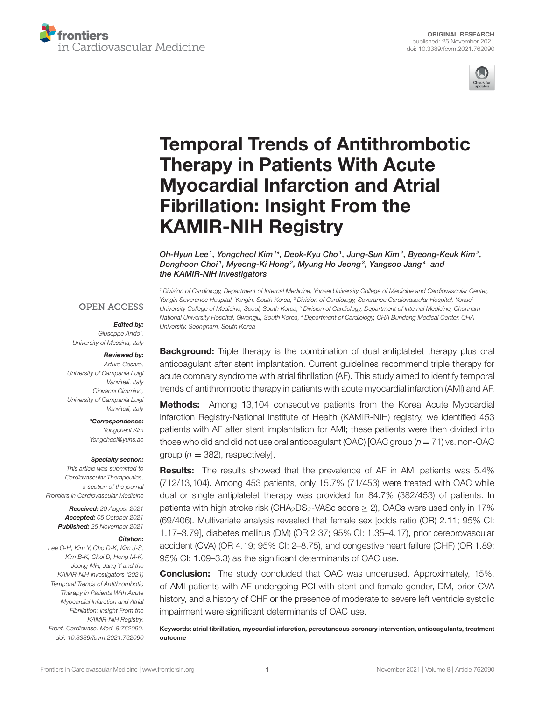



# [Temporal Trends of Antithrombotic](https://www.frontiersin.org/articles/10.3389/fcvm.2021.762090/full) Therapy in Patients With Acute Myocardial Infarction and Atrial Fibrillation: Insight From the KAMIR-NIH Registry

Oh-Hyun Lee $^{\text{\tiny{\textit{1}}}}$ , Yongcheol Kim  $^{\text{\tiny{\textit{1}}} *}$ , Deok-Kyu Cho  $^{\text{\tiny{\textit{1}}}}$ , Jung-Sun Kim $^{\text{\tiny{\textit{2}}}}$ , Byeong-Keuk Kim $^{\text{\tiny{\textit{2}}}}$ , Donghoon Choi1, Myeong-Ki Hong<sup>2</sup>, Myung Ho Jeong<sup>3</sup>, Yangsoo Jang<sup>4</sup> and the KAMIR-NIH Investigators

*<sup>1</sup> Division of Cardiology, Department of Internal Medicine, Yonsei University College of Medicine and Cardiovascular Center, Yongin Severance Hospital, Yongin, South Korea, <sup>2</sup> Division of Cardiology, Severance Cardiovascular Hospital, Yonsei University College of Medicine, Seoul, South Korea, <sup>3</sup> Division of Cardiology, Department of Internal Medicine, Chonnam National University Hospital, Gwangju, South Korea, <sup>4</sup> Department of Cardiology, CHA Bundang Medical Center, CHA*

**OPEN ACCESS** 

#### Edited by:

*University, Seongnam, South Korea*

*Giuseppe Ando', University of Messina, Italy*

#### Reviewed by:

*Arturo Cesaro, University of Campania Luigi Vanvitelli, Italy Giovanni Cimmino, University of Campania Luigi Vanvitelli, Italy*

> \*Correspondence: *Yongcheol Kim [Yongcheol@yuhs.ac](mailto:Yongcheol@yuhs.ac)*

#### Specialty section:

*This article was submitted to Cardiovascular Therapeutics, a section of the journal Frontiers in Cardiovascular Medicine*

> Received: *20 August 2021* Accepted: *05 October 2021* Published: *25 November 2021*

#### Citation:

*Lee O-H, Kim Y, Cho D-K, Kim J-S, Kim B-K, Choi D, Hong M-K, Jeong MH, Jang Y and the KAMIR-NIH Investigators (2021) Temporal Trends of Antithrombotic Therapy in Patients With Acute Myocardial Infarction and Atrial Fibrillation: Insight From the KAMIR-NIH Registry. Front. Cardiovasc. Med. 8:762090. doi: [10.3389/fcvm.2021.762090](https://doi.org/10.3389/fcvm.2021.762090)*

**Background:** Triple therapy is the combination of dual antiplatelet therapy plus oral anticoagulant after stent implantation. Current guidelines recommend triple therapy for acute coronary syndrome with atrial fibrillation (AF). This study aimed to identify temporal trends of antithrombotic therapy in patients with acute myocardial infarction (AMI) and AF.

Methods: Among 13,104 consecutive patients from the Korea Acute Myocardial Infarction Registry-National Institute of Health (KAMIR-NIH) registry, we identified 453 patients with AF after stent implantation for AMI; these patients were then divided into those who did and did not use oral anticoagulant (OAC) [OAC group (*n* = 71) vs. non-OAC group ( $n = 382$ ), respectively].

Results: The results showed that the prevalence of AF in AMI patients was 5.4% (712/13,104). Among 453 patients, only 15.7% (71/453) were treated with OAC while dual or single antiplatelet therapy was provided for 84.7% (382/453) of patients. In patients with high stroke risk (CHA<sub>2</sub>DS<sub>2</sub>-VASc score  $\geq$  2), OACs were used only in 17% (69/406). Multivariate analysis revealed that female sex [odds ratio (OR) 2.11; 95% CI: 1.17–3.79], diabetes mellitus (DM) (OR 2.37; 95% CI: 1.35–4.17), prior cerebrovascular accident (CVA) (OR 4.19; 95% CI: 2–8.75), and congestive heart failure (CHF) (OR 1.89; 95% CI: 1.09–3.3) as the significant determinants of OAC use.

**Conclusion:** The study concluded that OAC was underused. Approximately, 15%, of AMI patients with AF undergoing PCI with stent and female gender, DM, prior CVA history, and a history of CHF or the presence of moderate to severe left ventricle systolic impairment were significant determinants of OAC use.

Keywords: atrial fibrillation, myocardial infarction, percutaneous coronary intervention, anticoagulants, treatment outcome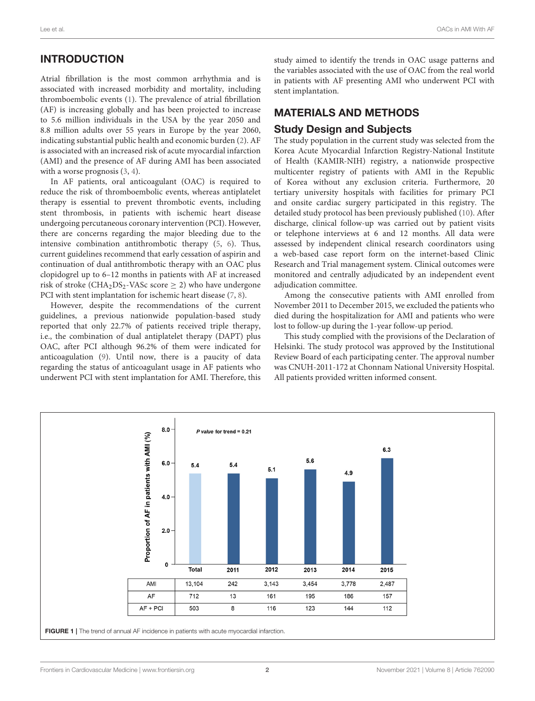### INTRODUCTION

Atrial fibrillation is the most common arrhythmia and is associated with increased morbidity and mortality, including thromboembolic events [\(1\)](#page-7-0). The prevalence of atrial fibrillation (AF) is increasing globally and has been projected to increase to 5.6 million individuals in the USA by the year 2050 and 8.8 million adults over 55 years in Europe by the year 2060, indicating substantial public health and economic burden [\(2\)](#page-7-1). AF is associated with an increased risk of acute myocardial infarction (AMI) and the presence of AF during AMI has been associated with a worse prognosis  $(3, 4)$  $(3, 4)$ .

In AF patients, oral anticoagulant (OAC) is required to reduce the risk of thromboembolic events, whereas antiplatelet therapy is essential to prevent thrombotic events, including stent thrombosis, in patients with ischemic heart disease undergoing percutaneous coronary intervention (PCI). However, there are concerns regarding the major bleeding due to the intensive combination antithrombotic therapy [\(5,](#page-7-4) [6\)](#page-7-5). Thus, current guidelines recommend that early cessation of aspirin and continuation of dual antithrombotic therapy with an OAC plus clopidogrel up to 6–12 months in patients with AF at increased risk of stroke (CHA<sub>2</sub>DS<sub>2</sub>-VASc score  $\geq$  2) who have undergone PCI with stent implantation for ischemic heart disease [\(7,](#page-7-6) [8\)](#page-7-7).

However, despite the recommendations of the current guidelines, a previous nationwide population-based study reported that only 22.7% of patients received triple therapy, i.e., the combination of dual antiplatelet therapy (DAPT) plus OAC, after PCI although 96.2% of them were indicated for anticoagulation [\(9\)](#page-7-8). Until now, there is a paucity of data regarding the status of anticoagulant usage in AF patients who underwent PCI with stent implantation for AMI. Therefore, this study aimed to identify the trends in OAC usage patterns and the variables associated with the use of OAC from the real world in patients with AF presenting AMI who underwent PCI with stent implantation.

# MATERIALS AND METHODS

### Study Design and Subjects

The study population in the current study was selected from the Korea Acute Myocardial Infarction Registry-National Institute of Health (KAMIR-NIH) registry, a nationwide prospective multicenter registry of patients with AMI in the Republic of Korea without any exclusion criteria. Furthermore, 20 tertiary university hospitals with facilities for primary PCI and onsite cardiac surgery participated in this registry. The detailed study protocol has been previously published [\(10\)](#page-7-9). After discharge, clinical follow-up was carried out by patient visits or telephone interviews at 6 and 12 months. All data were assessed by independent clinical research coordinators using a web-based case report form on the internet-based Clinic Research and Trial management system. Clinical outcomes were monitored and centrally adjudicated by an independent event adjudication committee.

Among the consecutive patients with AMI enrolled from November 2011 to December 2015, we excluded the patients who died during the hospitalization for AMI and patients who were lost to follow-up during the 1-year follow-up period.

This study complied with the provisions of the Declaration of Helsinki. The study protocol was approved by the Institutional Review Board of each participating center. The approval number was CNUH-2011-172 at Chonnam National University Hospital. All patients provided written informed consent.

<span id="page-1-0"></span>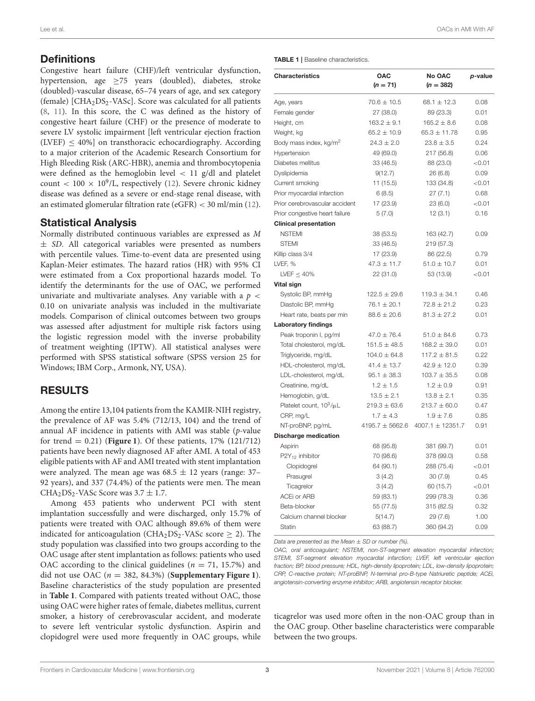### **Definitions**

Congestive heart failure (CHF)/left ventricular dysfunction, hypertension, age  $\geq$ 75 years (doubled), diabetes, stroke (doubled)-vascular disease, 65–74 years of age, and sex category (female)  $[CHA<sub>2</sub>DS<sub>2</sub>-VASC]$ . Score was calculated for all patients [\(8,](#page-7-7) [11\)](#page-7-10). In this score, the C was defined as the history of congestive heart failure (CHF) or the presence of moderate to severe LV systolic impairment [left ventricular ejection fraction  $(LVEF)$  < 40%] on transthoracic echocardiography. According to a major criterion of the Academic Research Consortium for High Bleeding Risk (ARC-HBR), anemia and thrombocytopenia were defined as the hemoglobin level  $\langle 11 \text{ g/d} \rangle$  and platelet count <  $100 \times 10^9$ /L, respectively [\(12\)](#page-7-11). Severe chronic kidney disease was defined as a severe or end-stage renal disease, with an estimated glomerular filtration rate (eGFR) < 30 ml/min [\(12\)](#page-7-11).

### Statistical Analysis

Normally distributed continuous variables are expressed as M ± SD. All categorical variables were presented as numbers with percentile values. Time-to-event data are presented using Kaplan-Meier estimates. The hazard ratios (HR) with 95% CI were estimated from a Cox proportional hazards model. To identify the determinants for the use of OAC, we performed univariate and multivariate analyses. Any variable with a  $p <$ 0.10 on univariate analysis was included in the multivariate models. Comparison of clinical outcomes between two groups was assessed after adjustment for multiple risk factors using the logistic regression model with the inverse probability of treatment weighting (IPTW). All statistical analyses were performed with SPSS statistical software (SPSS version 25 for Windows; IBM Corp., Armonk, NY, USA).

### RESULTS

Among the entire 13,104 patients from the KAMIR-NIH registry, the prevalence of AF was 5.4% (712/13, 104) and the trend of annual AF incidence in patients with AMI was stable (p-value for trend = 0.21) (**[Figure 1](#page-1-0)**). Of these patients, 17% (121/712) patients have been newly diagnosed AF after AMI. A total of 453 eligible patients with AF and AMI treated with stent implantation were analyzed. The mean age was  $68.5 \pm 12$  years (range: 37– 92 years), and 337 (74.4%) of the patients were men. The mean CHA<sub>2</sub>DS<sub>2</sub>-VASc Score was  $3.7 \pm 1.7$ .

Among 453 patients who underwent PCI with stent implantation successfully and were discharged, only 15.7% of patients were treated with OAC although 89.6% of them were indicated for anticoagulation (CHA<sub>2</sub>DS<sub>2</sub>-VASc score  $\geq$  2). The study population was classified into two groups according to the OAC usage after stent implantation as follows: patients who used OAC according to the clinical guidelines ( $n = 71, 15.7%$ ) and did not use OAC ( $n = 382, 84.3\%$ ) (**[Supplementary Figure 1](#page-6-0)**). Baseline characteristics of the study population are presented in **[Table 1](#page-2-0)**. Compared with patients treated without OAC, those using OAC were higher rates of female, diabetes mellitus, current smoker, a history of cerebrovascular accident, and moderate to severe left ventricular systolic dysfunction. Aspirin and clopidogrel were used more frequently in OAC groups, while <span id="page-2-0"></span>TABLE 1 | Baseline characteristics.

| Characteristics                    | OAC<br>$(n = 71)$   | No OAC<br>$(n = 382)$ | p-value   |
|------------------------------------|---------------------|-----------------------|-----------|
| Age, years                         | $70.6\pm10.5$       | $68.1 \pm 12.3$       | 0.08      |
| Female gender                      | 27 (38.0)           | 89 (23.3)             | 0.01      |
| Height, cm                         | $163.2 \pm 9.1$     | $165.2 \pm 8.6$       | 0.08      |
| Weight, kg                         | $65.2 \pm 10.9$     | $65.3 \pm 11.78$      | 0.95      |
| Body mass index, kg/m <sup>2</sup> | $24.3 \pm 2.0$      | $23.8 \pm 3.5$        | 0.24      |
| Hypertension                       | 49 (69.0)           | 217 (56.8)            | 0.06      |
| Diabetes mellitus                  | 33 (46.5)           | 88 (23.0)             | < 0.01    |
| Dyslipidemia                       | 9(12.7)             | 26(6.8)               | 0.09      |
| Current smoking                    | 11(15.5)            | 133 (34.8)            | < 0.01    |
| Prior myocardial infarction        | 6(8.5)              | 27(7.1)               | 0.68      |
| Prior cerebrovascular accident     | 17 (23.9)           | 23(6.0)               | ${<}0.01$ |
| Prior congestive heart failure     | 5(7.0)              | 12(3.1)               | 0.16      |
| <b>Clinical presentation</b>       |                     |                       |           |
| <b>NSTEMI</b>                      | 38 (53.5)           | 163 (42.7)            | 0.09      |
| <b>STEMI</b>                       | 33 (46.5)           | 219 (57.3)            |           |
| Killip class 3/4                   | 17 (23.9)           | 86 (22.5)             | 0.79      |
| LVEF, %                            | $47.3 \pm 11.7$     | $51.0 \pm 10.7$       | 0.01      |
| LVEF $\leq 40\%$                   | 22 (31.0)           | 53 (13.9)             | < 0.01    |
| Vital sign                         |                     |                       |           |
| Systolic BP, mmHg                  | $122.5 \pm 29.6$    | $119.3 \pm 34.1$      | 0.46      |
| Diastolic BP, mmHg                 | $76.1 \pm 20.1$     | $72.8 \pm 21.2$       | 0.23      |
| Heart rate, beats per min          | $88.6 \pm 20.6$     | $81.3 \pm 27.2$       | 0.01      |
| <b>Laboratory findings</b>         |                     |                       |           |
| Peak troponin I, pg/ml             | $47.0 \pm 76.4$     | $51.0 \pm 84.6$       | 0.73      |
| Total cholesterol, mg/dL           | $151.5 \pm 48.5$    | $168.2 \pm 39.0$      | 0.01      |
| Triglyceride, mg/dL                | $104.0 \pm 64.8$    | $117.2 \pm 81.5$      | 0.22      |
| HDL-cholesterol, mg/dL             | $41.4 \pm 13.7$     | $42.9 \pm 12.0$       | 0.39      |
| LDL-cholesterol, mg/dL             | $95.1 \pm 38.3$     | $103.7 \pm 35.5$      | 0.08      |
| Creatinine, mg/dL                  | $1.2 \pm 1.5$       | $1.2 \pm 0.9$         | 0.91      |
| Hemoglobin, g/dL                   | $13.5 \pm 2.1$      | $13.8 \pm 2.1$        | 0.35      |
| Platelet count, $10^3/\mu L$       | $219.3 \pm 63.6$    | $213.7 \pm 60.0$      | 0.47      |
| CRP, mg/L                          | $1.7 \pm 4.3$       | $1.9 \pm 7.6$         | 0.85      |
| NT-proBNP, pg/mL                   | $4195.7 \pm 5662.6$ | 4007.1 $\pm$ 12351.7  | 0.91      |
| <b>Discharge medication</b>        |                     |                       |           |
| Aspirin                            | 68 (95.8)           | 381 (99.7)            | 0.01      |
| $P2Y_{12}$ inhibitor               | 70 (98.6)           | 378 (99.0)            | 0.58      |
| Clopidogrel                        | 64 (90.1)           | 288 (75.4)            | < 0.01    |
| Prasugrel                          | 3(4.2)              | 30(7.9)               | 0.45      |
| Ticagrelor                         | 3(4.2)              | 60 (15.7)             | < 0.01    |
| ACEi or ARB                        | 59 (83.1)           | 299 (78.3)            | 0.36      |
| Beta-blocker                       | 55 (77.5)           | 315 (82.5)            | 0.32      |
| Calcium channel blocker            | 5(14.7)             | 29 (7.6)              | 1.00      |
| <b>Statin</b>                      | 63 (88.7)           | 360 (94.2)            | 0.09      |

*Data are presented as the Mean* ± *SD or number (%).*

*OAC, oral anticoagulant; NSTEMI, non-ST-segment elevation myocardial infarction; STEMI, ST-segment elevation myocardial infarction; LVEF, left ventricular ejection fraction; BP, blood pressure; HDL, high-density lipoprotein; LDL, low-density lipoprotein; CRP, C-reactive protein; NT-proBNP, N-terminal pro-B-type Natriuretic peptide; ACEi, angiotensin-converting enzyme inhibitor; ARB, angiotensin receptor blocker.*

ticagrelor was used more often in the non-OAC group than in the OAC group. Other baseline characteristics were comparable between the two groups.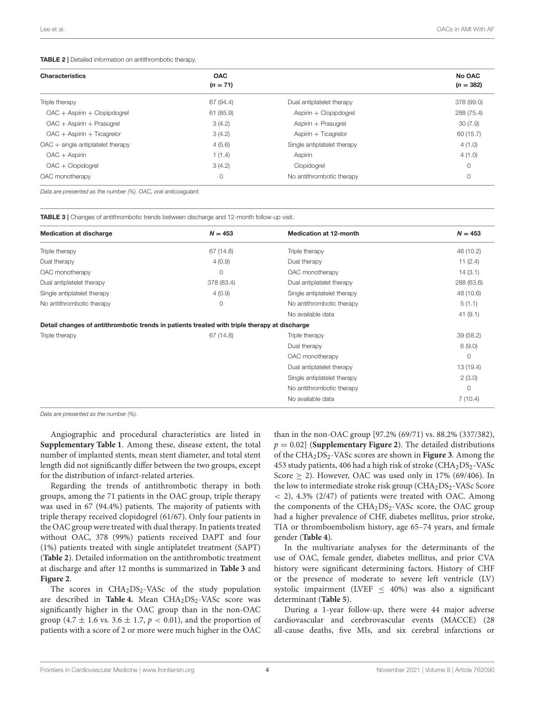#### <span id="page-3-0"></span>TABLE 2 | Detailed information on antithrombotic therapy.

| <b>Characteristics</b>                     | <b>OAC</b> |                             | No OAC      |
|--------------------------------------------|------------|-----------------------------|-------------|
|                                            | $(n = 71)$ |                             | $(n = 382)$ |
| Triple therapy                             | 67 (94.4)  | Dual antiplatelet therapy   | 378 (99.0)  |
| $OAC + Aspirin + Clopipdoqrel$             | 61 (85.9)  | Aspirin + Clopipdogrel      | 288 (75.4)  |
| $OAC + Aspirin + Prasugrel$                | 3(4.2)     | Aspirin + Prasugrel         | 30(7.9)     |
| $OAC + Aspirin + Ticaqrelor$               | 3(4.2)     | Aspirin $+$ Ticagrelor      | 60 (15.7)   |
| $OAC + \text{single antiplatedet therapy}$ | 4(5.6)     | Single antiplatelet therapy | 4(1.0)      |
| $OAC + Aspirin$                            | 1(1.4)     | Aspirin                     | 4(1.0)      |
| $OAC + Clopido$                            | 3(4.2)     | Clopidogrel                 | $\circ$     |
| OAC monotherapy                            | 0          | No antithrombotic therapy   | $\circ$     |

*Data are presented as the number (%). OAC, oral anticoagulant.*

<span id="page-3-1"></span>TABLE 3 | Changes of antithrombotic trends between discharge and 12-month follow-up visit.

|                                                                                              | $N = 453$  | <b>Medication at 12-month</b> | $N = 453$  |
|----------------------------------------------------------------------------------------------|------------|-------------------------------|------------|
| Triple therapy                                                                               | 67 (14.8)  | Triple therapy                | 46 (10.2)  |
| Dual therapy                                                                                 | 4(0.9)     | Dual therapy                  | 11 $(2.4)$ |
| OAC monotherapy                                                                              | 0          | OAC monotherapy               | 14(3.1)    |
| Dual antiplatelet therapy                                                                    | 378 (83.4) | Dual antiplatelet therapy     | 288 (63.6) |
| Single antiplatelet therapy                                                                  | 4(0.9)     | Single antiplatelet therapy   | 48 (10.6)  |
| No antithrombotic therapy                                                                    | 0          | No antithrombotic therapy     | 5(1.1)     |
|                                                                                              |            | No available data             | 41(9.1)    |
| Detail changes of antithrombotic trends in patients treated with triple therapy at discharge |            |                               |            |
| Triple therapy                                                                               | 67 (14.8)  | Triple therapy                | 39 (58.2)  |
|                                                                                              |            | Dual therapy                  | 6(9.0)     |
|                                                                                              |            | OAC monotherapy               | $\circ$    |
|                                                                                              |            | Dual antiplatelet therapy     | 13 (19.4)  |
|                                                                                              |            | Single antiplatelet therapy   | 2(3.0)     |
|                                                                                              |            | No antithrombotic therapy     | $\circ$    |
|                                                                                              |            | No available data             | 7(10.4)    |

*Data are presented as the number (%).*

Angiographic and procedural characteristics are listed in **[Supplementary Table 1](#page-6-0)**. Among these, disease extent, the total number of implanted stents, mean stent diameter, and total stent length did not significantly differ between the two groups, except for the distribution of infarct-related arteries.

Regarding the trends of antithrombotic therapy in both groups, among the 71 patients in the OAC group, triple therapy was used in 67 (94.4%) patients. The majority of patients with triple therapy received clopidogrel (61/67). Only four patients in the OAC group were treated with dual therapy. In patients treated without OAC, 378 (99%) patients received DAPT and four (1%) patients treated with single antiplatelet treatment (SAPT) (**[Table 2](#page-3-0)**). Detailed information on the antithrombotic treatment at discharge and after 12 months is summarized in **[Table 3](#page-3-1)** and **[Figure 2](#page-4-0)**.

The scores in  $CHA<sub>2</sub>DS<sub>2</sub> - VASC$  of the study population are described in **[Table 4.](#page-4-1)** Mean CHA<sub>2</sub>DS<sub>2</sub>-VASc score was significantly higher in the OAC group than in the non-OAC group (4.7  $\pm$  1.6 vs. 3.6  $\pm$  1.7,  $p < 0.01$ ), and the proportion of patients with a score of 2 or more were much higher in the OAC than in the non-OAC group [97.2% (69/71) vs. 88.2% (337/382),  $p = 0.02$  (**[Supplementary Figure 2](#page-6-0)**). The detailed distributions of the CHA2DS2-VASc scores are shown in **[Figure 3](#page-5-0)**. Among the 453 study patients, 406 had a high risk of stroke  $(CHA<sub>2</sub>DS<sub>2</sub>-VASC)$ Score  $\geq$  2). However, OAC was used only in 17% (69/406). In the low to intermediate stroke risk group  $(CHA<sub>2</sub>DS<sub>2</sub>-VASC Score$  $<$  2), 4.3% (2/47) of patients were treated with OAC. Among the components of the  $CHA<sub>2</sub>DS<sub>2</sub>$ -VASc score, the OAC group had a higher prevalence of CHF, diabetes mellitus, prior stroke, TIA or thromboembolism history, age 65–74 years, and female gender (**[Table 4](#page-4-1)**).

In the multivariate analyses for the determinants of the use of OAC, female gender, diabetes mellitus, and prior CVA history were significant determining factors. History of CHF or the presence of moderate to severe left ventricle (LV) systolic impairment (LVEF  $\leq$  40%) was also a significant determinant (**[Table 5](#page-5-1)**).

During a 1-year follow-up, there were 44 major adverse cardiovascular and cerebrovascular events (MACCE) (28 all-cause deaths, five MIs, and six cerebral infarctions or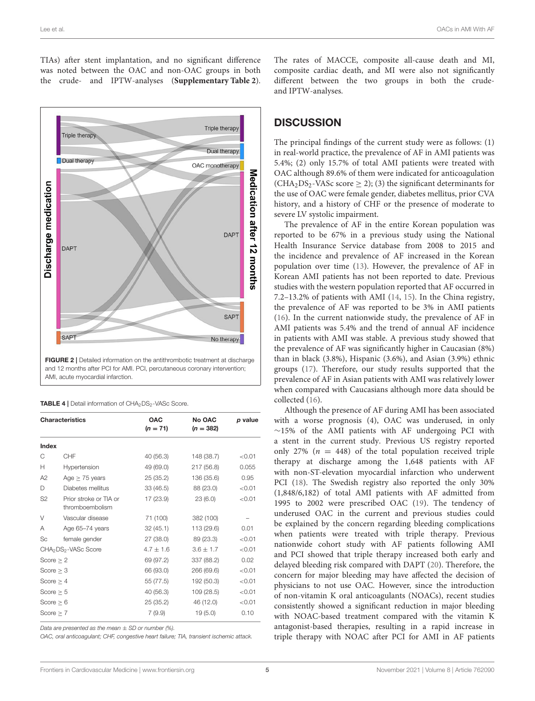TIAs) after stent implantation, and no significant difference was noted between the OAC and non-OAC groups in both the crude- and IPTW-analyses (**[Supplementary Table 2](#page-6-0)**).



<span id="page-4-0"></span>FIGURE 2 | Detailed information on the antithrombotic treatment at discharge and 12 months after PCI for AMI. PCI, percutaneous coronary intervention; AMI, acute myocardial infarction.

<span id="page-4-1"></span>

|  | <b>TABLE 4</b>   Detail information of CHA <sub>2</sub> DS <sub>2</sub> -VASc Score. |
|--|--------------------------------------------------------------------------------------|
|  |                                                                                      |

|                | <b>Characteristics</b>                       | <b>OAC</b><br>$(n = 71)$ | No OAC<br>$(n = 382)$ | p value |
|----------------|----------------------------------------------|--------------------------|-----------------------|---------|
| Index          |                                              |                          |                       |         |
| C              | CHF                                          | 40 (56.3)                | 148 (38.7)            | < 0.01  |
| Н              | Hypertension                                 | 49 (69.0)                | 217 (56.8)            | 0.055   |
| A2             | Age $\geq$ 75 years                          | 25(35.2)                 | 136 (35.6)            | 0.95    |
| D              | Diabetes mellitus                            | 33(46.5)                 | 88 (23.0)             | < 0.01  |
| S <sub>2</sub> | Prior stroke or TIA or<br>thromboembolism    | 17 (23.9)                | 23(6.0)               | < 0.01  |
| V              | Vascular disease                             | 71 (100)                 | 382 (100)             |         |
| Α              | Age 65-74 years                              | 32(45.1)                 | 113 (29.6)            | 0.01    |
| Sc             | female gender                                | 27 (38.0)                | 89 (23.3)             | < 0.01  |
|                | CHA <sub>2</sub> DS <sub>2</sub> -VASc Score | $4.7 \pm 1.6$            | $3.6 \pm 1.7$         | < 0.01  |
| Score $\geq 2$ |                                              | 69 (97.2)                | 337 (88.2)            | 0.02    |
| Score $\geq 3$ |                                              | 66 (93.0)                | 266 (69.6)            | < 0.01  |
| Score $\geq 4$ |                                              | 55 (77.5)                | 192 (50.3)            | < 0.01  |
| Score $\geq 5$ |                                              | 40 (56.3)                | 109 (28.5)            | < 0.01  |
| Score $\geq 6$ |                                              | 25(35.2)                 | 46 (12.0)             | < 0.01  |
| Score $\geq 7$ |                                              | 7(9.9)                   | 19(5.0)               | 0.10    |

*Data are presented as the mean* ± *SD or number (%).*

*OAC, oral anticoagulant; CHF, congestive heart failure; TIA, transient ischemic attack.*

The rates of MACCE, composite all-cause death and MI, composite cardiac death, and MI were also not significantly different between the two groups in both the crudeand IPTW-analyses.

### **DISCUSSION**

The principal findings of the current study were as follows: (1) in real-world practice, the prevalence of AF in AMI patients was 5.4%; (2) only 15.7% of total AMI patients were treated with OAC although 89.6% of them were indicated for anticoagulation (CHA<sub>2</sub>DS<sub>2</sub>-VASc score  $\geq$  2); (3) the significant determinants for the use of OAC were female gender, diabetes mellitus, prior CVA history, and a history of CHF or the presence of moderate to severe LV systolic impairment.

The prevalence of AF in the entire Korean population was reported to be 67% in a previous study using the National Health Insurance Service database from 2008 to 2015 and the incidence and prevalence of AF increased in the Korean population over time [\(13\)](#page-7-12). However, the prevalence of AF in Korean AMI patients has not been reported to date. Previous studies with the western population reported that AF occurred in 7.2–13.2% of patients with AMI [\(14,](#page-7-13) [15\)](#page-7-14). In the China registry, the prevalence of AF was reported to be 3% in AMI patients [\(16\)](#page-7-15). In the current nationwide study, the prevalence of AF in AMI patients was 5.4% and the trend of annual AF incidence in patients with AMI was stable. A previous study showed that the prevalence of AF was significantly higher in Caucasian (8%) than in black (3.8%), Hispanic (3.6%), and Asian (3.9%) ethnic groups [\(17\)](#page-7-16). Therefore, our study results supported that the prevalence of AF in Asian patients with AMI was relatively lower when compared with Caucasians although more data should be collected [\(16\)](#page-7-15).

Although the presence of AF during AMI has been associated with a worse prognosis (4), OAC was underused, in only ∼15% of the AMI patients with AF undergoing PCI with a stent in the current study. Previous US registry reported only 27% ( $n = 448$ ) of the total population received triple therapy at discharge among the 1,648 patients with AF with non-ST-elevation myocardial infarction who underwent PCI [\(18\)](#page-7-17). The Swedish registry also reported the only 30% (1,848/6,182) of total AMI patients with AF admitted from 1995 to 2002 were prescribed OAC [\(19\)](#page-7-18). The tendency of underused OAC in the current and previous studies could be explained by the concern regarding bleeding complications when patients were treated with triple therapy. Previous nationwide cohort study with AF patients following AMI and PCI showed that triple therapy increased both early and delayed bleeding risk compared with DAPT [\(20\)](#page-7-19). Therefore, the concern for major bleeding may have affected the decision of physicians to not use OAC. However, since the introduction of non-vitamin K oral anticoagulants (NOACs), recent studies consistently showed a significant reduction in major bleeding with NOAC-based treatment compared with the vitamin K antagonist-based therapies, resulting in a rapid increase in triple therapy with NOAC after PCI for AMI in AF patients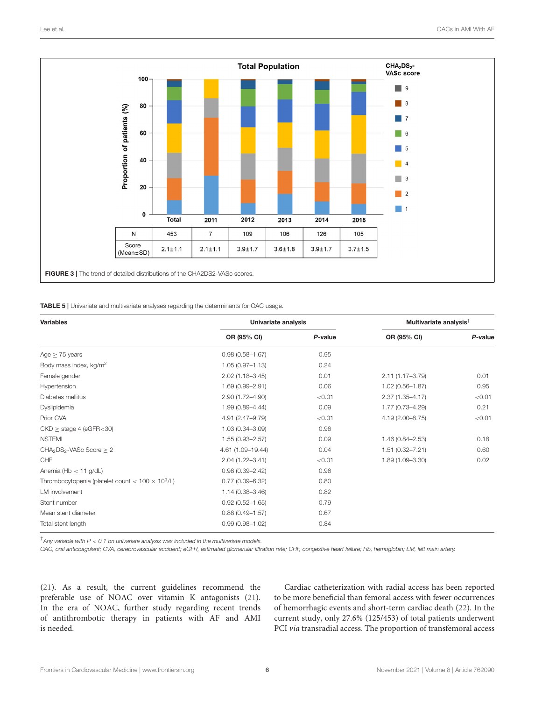

<span id="page-5-1"></span><span id="page-5-0"></span>TABLE 5 | Univariate and multivariate analyses regarding the determinants for OAC usage.

| <b>Variables</b>                                         | Univariate analysis |         | Multivariate analysis <sup>†</sup> |         |
|----------------------------------------------------------|---------------------|---------|------------------------------------|---------|
|                                                          | OR (95% CI)         | P-value | OR (95% CI)                        | P-value |
| Age $\geq$ 75 years                                      | $0.98(0.58 - 1.67)$ | 0.95    |                                    |         |
| Body mass index, kg/m <sup>2</sup>                       | $1.05(0.97 - 1.13)$ | 0.24    |                                    |         |
| Female gender                                            | $2.02(1.18 - 3.45)$ | 0.01    | 2.11 (1.17-3.79)                   | 0.01    |
| Hypertension                                             | 1.69 (0.99-2.91)    | 0.06    | $1.02(0.56 - 1.87)$                | 0.95    |
| Diabetes mellitus                                        | $2.90(1.72 - 4.90)$ | < 0.01  | $2.37(1.35 - 4.17)$                | < 0.01  |
| Dyslipidemia                                             | 1.99 (0.89-4.44)    | 0.09    | 1.77 (0.73-4.29)                   | 0.21    |
| Prior CVA                                                | 4.91 (2.47-9.79)    | < 0.01  | 4.19 (2.00-8.75)                   | < 0.01  |
| $CKD \geq$ stage 4 (eGFR<30)                             | 1.03 (0.34-3.09)    | 0.96    |                                    |         |
| <b>NSTEMI</b>                                            | $1.55(0.93 - 2.57)$ | 0.09    | $1.46(0.84 - 2.53)$                | 0.18    |
| CHA <sub>2</sub> DS <sub>2</sub> -VASc Score $\geq 2$    | 4.61 (1.09-19.44)   | 0.04    | $1.51(0.32 - 7.21)$                | 0.60    |
| CHF                                                      | $2.04(1.22 - 3.41)$ | < 0.01  | $1.89(1.09 - 3.30)$                | 0.02    |
| Anemia (Hb $<$ 11 g/dL)                                  | $0.98(0.39 - 2.42)$ | 0.96    |                                    |         |
| Thrombocytopenia (platelet count < $100 \times 10^9$ /L) | $0.77(0.09 - 6.32)$ | 0.80    |                                    |         |
| LM involvement                                           | $1.14(0.38 - 3.46)$ | 0.82    |                                    |         |
| Stent number                                             | $0.92(0.52 - 1.65)$ | 0.79    |                                    |         |
| Mean stent diameter                                      | $0.88(0.49 - 1.57)$ | 0.67    |                                    |         |
| Total stent length                                       | $0.99(0.98 - 1.02)$ | 0.84    |                                    |         |

*† Any variable with P* < *0.1 on univariate analysis was included in the multivariate models.*

*OAC, oral anticoagulant; CVA, cerebrovascular accident; eGFR, estimated glomerular filtration rate; CHF, congestive heart failure; Hb, hemoglobin; LM, left main artery.*

[\(21\)](#page-7-20). As a result, the current guidelines recommend the preferable use of NOAC over vitamin K antagonists [\(21\)](#page-7-20). In the era of NOAC, further study regarding recent trends of antithrombotic therapy in patients with AF and AMI is needed.

Cardiac catheterization with radial access has been reported to be more beneficial than femoral access with fewer occurrences of hemorrhagic events and short-term cardiac death [\(22\)](#page-7-21). In the current study, only 27.6% (125/453) of total patients underwent PCI via transradial access. The proportion of transfemoral access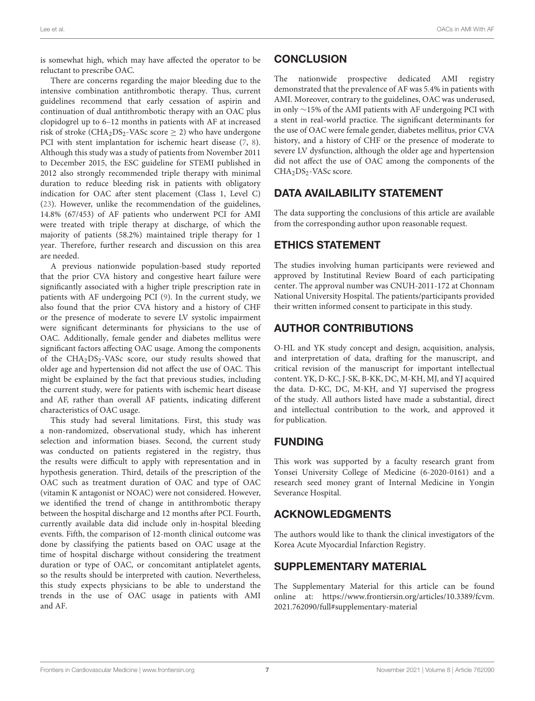is somewhat high, which may have affected the operator to be reluctant to prescribe OAC.

There are concerns regarding the major bleeding due to the intensive combination antithrombotic therapy. Thus, current guidelines recommend that early cessation of aspirin and continuation of dual antithrombotic therapy with an OAC plus clopidogrel up to 6–12 months in patients with AF at increased risk of stroke (CHA<sub>2</sub>DS<sub>2</sub>-VASc score  $\geq$  2) who have undergone PCI with stent implantation for ischemic heart disease [\(7,](#page-7-6) [8\)](#page-7-7). Although this study was a study of patients from November 2011 to December 2015, the ESC guideline for STEMI published in 2012 also strongly recommended triple therapy with minimal duration to reduce bleeding risk in patients with obligatory indication for OAC after stent placement (Class 1, Level C) [\(23\)](#page-7-22). However, unlike the recommendation of the guidelines, 14.8% (67/453) of AF patients who underwent PCI for AMI were treated with triple therapy at discharge, of which the majority of patients (58.2%) maintained triple therapy for 1 year. Therefore, further research and discussion on this area are needed.

A previous nationwide population-based study reported that the prior CVA history and congestive heart failure were significantly associated with a higher triple prescription rate in patients with AF undergoing PCI [\(9\)](#page-7-8). In the current study, we also found that the prior CVA history and a history of CHF or the presence of moderate to severe LV systolic impairment were significant determinants for physicians to the use of OAC. Additionally, female gender and diabetes mellitus were significant factors affecting OAC usage. Among the components of the CHA<sub>2</sub>DS<sub>2</sub>-VASc score, our study results showed that older age and hypertension did not affect the use of OAC. This might be explained by the fact that previous studies, including the current study, were for patients with ischemic heart disease and AF, rather than overall AF patients, indicating different characteristics of OAC usage.

This study had several limitations. First, this study was a non-randomized, observational study, which has inherent selection and information biases. Second, the current study was conducted on patients registered in the registry, thus the results were difficult to apply with representation and in hypothesis generation. Third, details of the prescription of the OAC such as treatment duration of OAC and type of OAC (vitamin K antagonist or NOAC) were not considered. However, we identified the trend of change in antithrombotic therapy between the hospital discharge and 12 months after PCI. Fourth, currently available data did include only in-hospital bleeding events. Fifth, the comparison of 12-month clinical outcome was done by classifying the patients based on OAC usage at the time of hospital discharge without considering the treatment duration or type of OAC, or concomitant antiplatelet agents, so the results should be interpreted with caution. Nevertheless, this study expects physicians to be able to understand the trends in the use of OAC usage in patients with AMI and AF.

# **CONCLUSION**

The nationwide prospective dedicated AMI registry demonstrated that the prevalence of AF was 5.4% in patients with AMI. Moreover, contrary to the guidelines, OAC was underused, in only ∼15% of the AMI patients with AF undergoing PCI with a stent in real-world practice. The significant determinants for the use of OAC were female gender, diabetes mellitus, prior CVA history, and a history of CHF or the presence of moderate to severe LV dysfunction, although the older age and hypertension did not affect the use of OAC among the components of the CHA<sub>2</sub>DS<sub>2</sub>-VASc score.

# DATA AVAILABILITY STATEMENT

The data supporting the conclusions of this article are available from the corresponding author upon reasonable request.

# ETHICS STATEMENT

The studies involving human participants were reviewed and approved by Institutinal Review Board of each participating center. The approval number was CNUH-2011-172 at Chonnam National University Hospital. The patients/participants provided their written informed consent to participate in this study.

# AUTHOR CONTRIBUTIONS

O-HL and YK study concept and design, acquisition, analysis, and interpretation of data, drafting for the manuscript, and critical revision of the manuscript for important intellectual content. YK, D-KC, J-SK, B-KK, DC, M-KH, MJ, and YJ acquired the data. D-KC, DC, M-KH, and YJ supervised the progress of the study. All authors listed have made a substantial, direct and intellectual contribution to the work, and approved it for publication.

### FUNDING

This work was supported by a faculty research grant from Yonsei University College of Medicine (6-2020-0161) and a research seed money grant of Internal Medicine in Yongin Severance Hospital.

### ACKNOWLEDGMENTS

The authors would like to thank the clinical investigators of the Korea Acute Myocardial Infarction Registry.

# SUPPLEMENTARY MATERIAL

<span id="page-6-0"></span>The Supplementary Material for this article can be found [online at: https://www.frontiersin.org/articles/10.3389/fcvm.](https://www.frontiersin.org/articles/10.3389/fcvm.2021.762090/full#supplementary-material) 2021.762090/full#supplementary-material